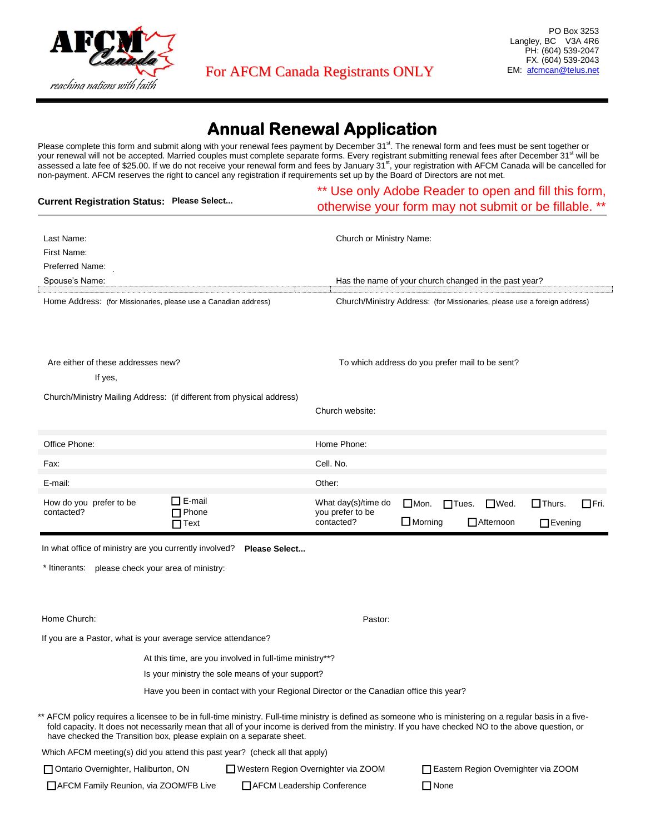

## **Annual Renewal Application**

Please complete this form and submit along with your renewal fees payment by December 31<sup>st</sup>. The renewal form and fees must be sent together or your renewal will not be accepted. Married couples must complete separate forms. Every registrant submitting renewal fees after December 31<sup>st</sup> will be assessed a late fee of \$25.00. If we do not receive your renewal form and fees by January 31<sup>st</sup>, your registration with AFCM Canada will be cancelled for non-payment. AFCM reserves the right to cancel any registration if requirements set up by the Board of Directors are not met.

| <b>Current Registration Status: Please Select</b>                                                                                                                                                                                 |                                                                                        | Use only Adobe Reader to open and fill this form,<br>otherwise your form may not submit or be fillable. **                                         |  |  |  |
|-----------------------------------------------------------------------------------------------------------------------------------------------------------------------------------------------------------------------------------|----------------------------------------------------------------------------------------|----------------------------------------------------------------------------------------------------------------------------------------------------|--|--|--|
| Last Name:<br>First Name:<br>Preferred Name:                                                                                                                                                                                      |                                                                                        | Church or Ministry Name:                                                                                                                           |  |  |  |
| Spouse's Name:                                                                                                                                                                                                                    |                                                                                        | Has the name of your church changed in the past year?                                                                                              |  |  |  |
| Home Address: (for Missionaries, please use a Canadian address)                                                                                                                                                                   |                                                                                        | Church/Ministry Address: (for Missionaries, please use a foreign address)                                                                          |  |  |  |
| Are either of these addresses new?<br>If yes,                                                                                                                                                                                     |                                                                                        | To which address do you prefer mail to be sent?                                                                                                    |  |  |  |
| Church/Ministry Mailing Address: (if different from physical address)                                                                                                                                                             | Church website:                                                                        |                                                                                                                                                    |  |  |  |
| Office Phone:                                                                                                                                                                                                                     | Home Phone:                                                                            |                                                                                                                                                    |  |  |  |
| Fax:                                                                                                                                                                                                                              | Cell. No.                                                                              |                                                                                                                                                    |  |  |  |
| E-mail:                                                                                                                                                                                                                           | Other:                                                                                 |                                                                                                                                                    |  |  |  |
| □ E-mail<br>How do you prefer to be<br>Phone<br>contacted?<br>$\Box$ Text                                                                                                                                                         | What day(s)/time do<br>you prefer to be<br>contacted?                                  | $\Box$ Thurs.<br>$\Box$ Mon.<br>$\Box$ Tues.<br>$\Box$ Wed.<br>$\Box$ Fri.<br>$\Box$ Morning<br>Afternoon<br>$\Box$ Evening                        |  |  |  |
| In what office of ministry are you currently involved?<br>* Itinerants: please check your area of ministry:                                                                                                                       | Please Select                                                                          |                                                                                                                                                    |  |  |  |
| Home Church:                                                                                                                                                                                                                      |                                                                                        | Pastor:                                                                                                                                            |  |  |  |
| If you are a Pastor, what is your average service attendance?                                                                                                                                                                     |                                                                                        |                                                                                                                                                    |  |  |  |
| At this time, are you involved in full-time ministry**?                                                                                                                                                                           |                                                                                        |                                                                                                                                                    |  |  |  |
| Is your ministry the sole means of your support?                                                                                                                                                                                  |                                                                                        |                                                                                                                                                    |  |  |  |
|                                                                                                                                                                                                                                   | Have you been in contact with your Regional Director or the Canadian office this year? |                                                                                                                                                    |  |  |  |
| ** AFCM policy requires a licensee to be in full-time ministry. Full-time ministry is defined as someone who is ministering on a regular basis in a five-<br>have checked the Transition box, please explain on a separate sheet. |                                                                                        | fold capacity. It does not necessarily mean that all of your income is derived from the ministry. If you have checked NO to the above question, or |  |  |  |
| Which AFCM meeting(s) did you attend this past year? (check all that apply)                                                                                                                                                       |                                                                                        |                                                                                                                                                    |  |  |  |
| Ontario Overnighter, Haliburton, ON                                                                                                                                                                                               | Western Region Overnighter via ZOOM                                                    | Eastern Region Overnighter via ZOOM                                                                                                                |  |  |  |
| AFCM Family Reunion, via ZOOM/FB Live                                                                                                                                                                                             | AFCM Leadership Conference                                                             | $\Box$ None                                                                                                                                        |  |  |  |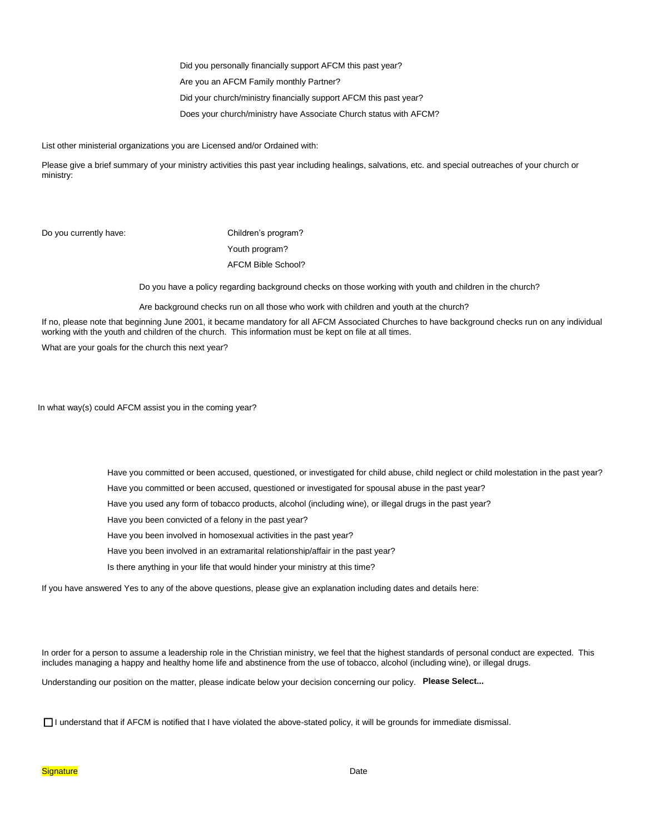Did you personally financially support AFCM this past year?

Are you an AFCM Family monthly Partner?

Did your church/ministry financially support AFCM this past year?

Does your church/ministry have Associate Church status with AFCM?

List other ministerial organizations you are Licensed and/or Ordained with:

Please give a brief summary of your ministry activities this past year including healings, salvations, etc. and special outreaches of your church or ministry:

Do you currently have: Children's program?

Youth program? AFCM Bible School?

Do you have a policy regarding background checks on those working with youth and children in the church?

Are background checks run on all those who work with children and youth at the church?

If no, please note that beginning June 2001, it became mandatory for all AFCM Associated Churches to have background checks run on any individual working with the youth and children of the church. This information must be kept on file at all times.

What are your goals for the church this next year?

In what way(s) could AFCM assist you in the coming year?

Have you committed or been accused, questioned, or investigated for child abuse, child neglect or child molestation in the past year?

Have you committed or been accused, questioned or investigated for spousal abuse in the past year?

Have you used any form of tobacco products, alcohol (including wine), or illegal drugs in the past year?

Have you been convicted of a felony in the past year?

Have you been involved in homosexual activities in the past year?

Have you been involved in an extramarital relationship/affair in the past year?

Is there anything in your life that would hinder your ministry at this time?

If you have answered Yes to any of the above questions, please give an explanation including dates and details here:

In order for a person to assume a leadership role in the Christian ministry, we feel that the highest standards of personal conduct are expected. This includes managing a happy and healthy home life and abstinence from the use of tobacco, alcohol (including wine), or illegal drugs.

Understanding our position on the matter, please indicate below your decision concerning our policy. **Please Select...**

I understand that if AFCM is notified that I have violated the above-stated policy, it will be grounds for immediate dismissal.